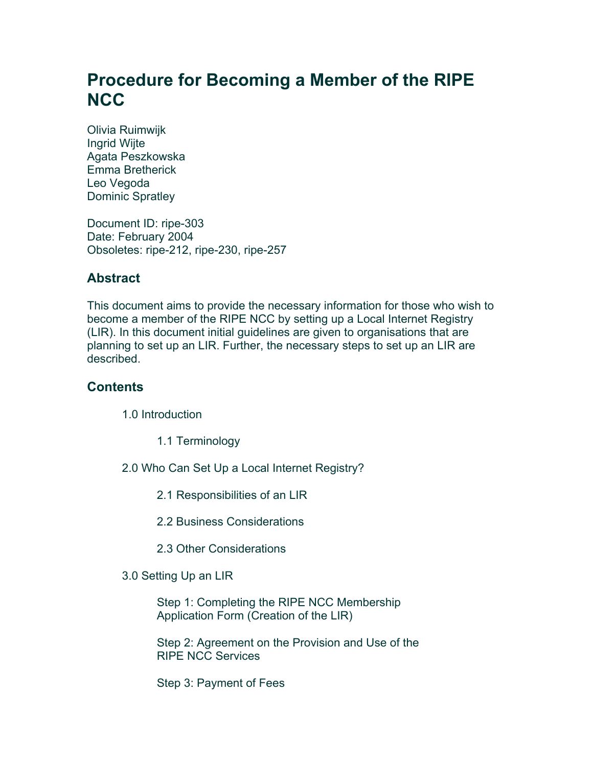# **Procedure for Becoming a Member of the RIPE NCC**

Olivia Ruimwijk Ingrid Wijte Agata Peszkowska Emma Bretherick Leo Vegoda Dominic Spratley

Document ID: ripe-303 Date: February 2004 Obsoletes: ripe-212, ripe-230, ripe-257

### **Abstract**

This document aims to provide the necessary information for those who wish to become a member of the RIPE NCC by setting up a Local Internet Registry (LIR). In this document initial guidelines are given to organisations that are planning to set up an LIR. Further, the necessary steps to set up an LIR are described.

#### **Contents**

1.0 Introduction

1.1 Terminology

2.0 Who Can Set Up a Local Internet Registry?

2.1 Responsibilities of an LIR

2.2 Business Considerations

2.3 Other Considerations

3.0 Setting Up an LIR

Step 1: Completing the RIPE NCC Membership Application Form (Creation of the LIR)

Step 2: Agreement on the Provision and Use of the RIPE NCC Services

Step 3: Payment of Fees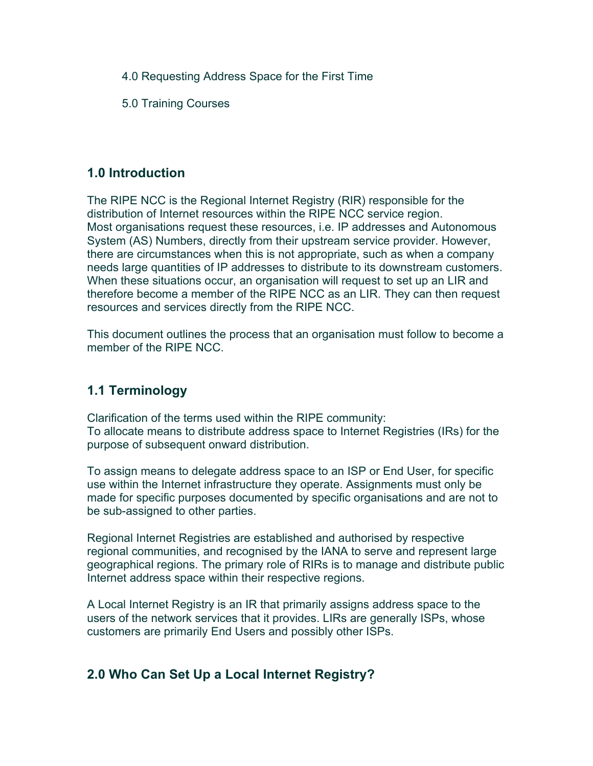4.0 Requesting Address Space for the First Time

5.0 Training Courses

#### **1.0 Introduction**

The RIPE NCC is the Regional Internet Registry (RIR) responsible for the distribution of Internet resources within the RIPE NCC service region. Most organisations request these resources, i.e. IP addresses and Autonomous System (AS) Numbers, directly from their upstream service provider. However, there are circumstances when this is not appropriate, such as when a company needs large quantities of IP addresses to distribute to its downstream customers. When these situations occur, an organisation will request to set up an LIR and therefore become a member of the RIPE NCC as an LIR. They can then request resources and services directly from the RIPE NCC.

This document outlines the process that an organisation must follow to become a member of the RIPE NCC.

### **1.1 Terminology**

Clarification of the terms used within the RIPE community: To allocate means to distribute address space to Internet Registries (IRs) for the purpose of subsequent onward distribution.

To assign means to delegate address space to an ISP or End User, for specific use within the Internet infrastructure they operate. Assignments must only be made for specific purposes documented by specific organisations and are not to be sub-assigned to other parties.

Regional Internet Registries are established and authorised by respective regional communities, and recognised by the IANA to serve and represent large geographical regions. The primary role of RIRs is to manage and distribute public Internet address space within their respective regions.

A Local Internet Registry is an IR that primarily assigns address space to the users of the network services that it provides. LIRs are generally ISPs, whose customers are primarily End Users and possibly other ISPs.

# **2.0 Who Can Set Up a Local Internet Registry?**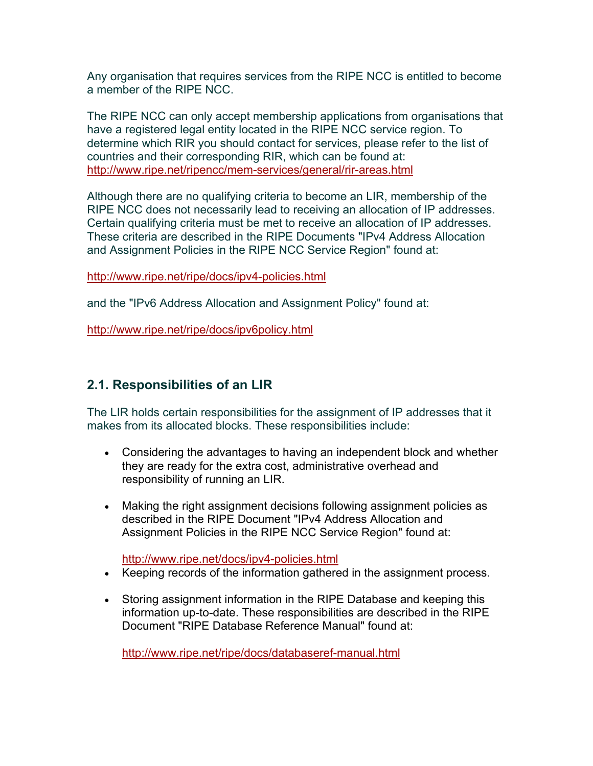Any organisation that requires services from the RIPE NCC is entitled to become a member of the RIPE NCC.

The RIPE NCC can only accept membership applications from organisations that have a registered legal entity located in the RIPE NCC service region. To determine which RIR you should contact for services, please refer to the list of countries and their corresponding RIR, which can be found at: <http://www.ripe.net/ripencc/mem-services/general/rir-areas.html>

Although there are no qualifying criteria to become an LIR, membership of the RIPE NCC does not necessarily lead to receiving an allocation of IP addresses. Certain qualifying criteria must be met to receive an allocation of IP addresses. These criteria are described in the RIPE Documents "IPv4 Address Allocation and Assignment Policies in the RIPE NCC Service Region" found at:

<http://www.ripe.net/ripe/docs/ipv4-policies.html>

and the "IPv6 Address Allocation and Assignment Policy" found at:

<http://www.ripe.net/ripe/docs/ipv6policy.html>

# **2.1. Responsibilities of an LIR**

The LIR holds certain responsibilities for the assignment of IP addresses that it makes from its allocated blocks. These responsibilities include:

- Considering the advantages to having an independent block and whether they are ready for the extra cost, administrative overhead and responsibility of running an LIR.
- Making the right assignment decisions following assignment policies as described in the RIPE Document "IPv4 Address Allocation and [A](http://www.ripe.net/docs/ipv4-policies.html)ssignment Policies in the RIPE NCC Service Region" found at:

<http://www.ripe.net/docs/ipv4-policies.html>

- Keeping records of the information gathered in the assignment process.
- Storing assignment information in the RIPE Database and keeping this information up-to-date. These responsibilities are described in the RIPE Document "RIPE Database Reference Manual" found at:

<http://www.ripe.net/ripe/docs/databaseref-manual.html>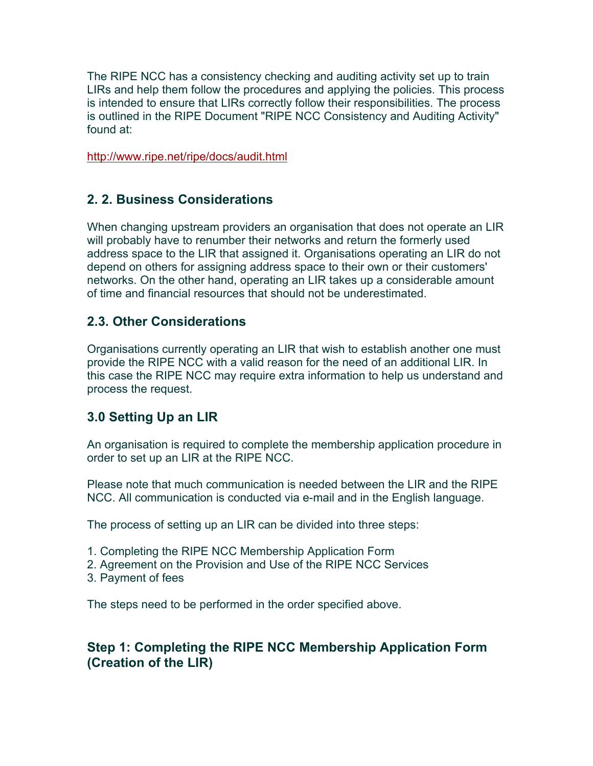The RIPE NCC has a consistency checking and auditing activity set up to train LIRs and help them follow the procedures and applying the policies. This process is intended to ensure that LIRs correctly follow their responsibilities. The process is outlined in the RIPE Document "RIPE NCC Consistency and Auditing Activity" found at:

<http://www.ripe.net/ripe/docs/audit.html>

### **2. 2. Business Considerations**

When changing upstream providers an organisation that does not operate an LIR will probably have to renumber their networks and return the formerly used address space to the LIR that assigned it. Organisations operating an LIR do not depend on others for assigning address space to their own or their customers' networks. On the other hand, operating an LIR takes up a considerable amount of time and financial resources that should not be underestimated.

#### **2.3. Other Considerations**

Organisations currently operating an LIR that wish to establish another one must provide the RIPE NCC with a valid reason for the need of an additional LIR. In this case the RIPE NCC may require extra information to help us understand and process the request.

# **3.0 Setting Up an LIR**

An organisation is required to complete the membership application procedure in order to set up an LIR at the RIPE NCC.

Please note that much communication is needed between the LIR and the RIPE NCC. All communication is conducted via e-mail and in the English language.

The process of setting up an LIR can be divided into three steps:

- 1. Completing the RIPE NCC Membership Application Form
- 2. Agreement on the Provision and Use of the RIPE NCC Services
- 3. Payment of fees

The steps need to be performed in the order specified above.

### **Step 1: Completing the RIPE NCC Membership Application Form (Creation of the LIR)**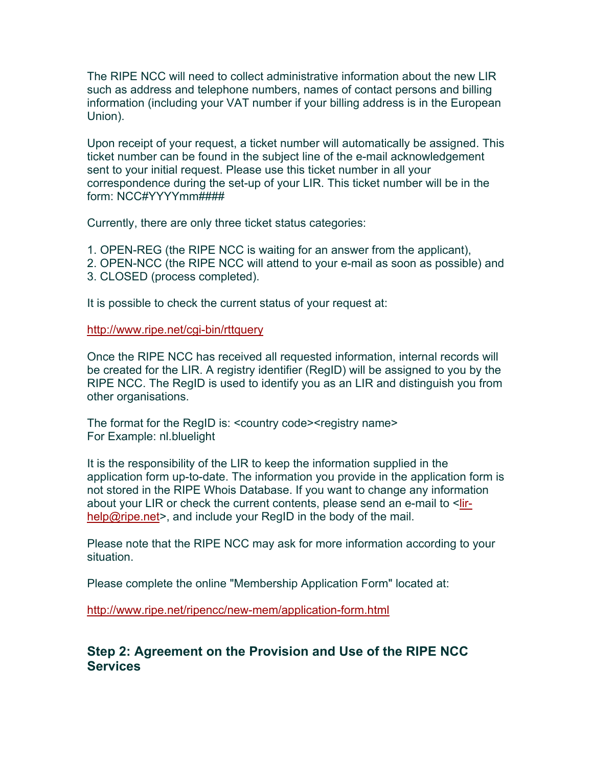The RIPE NCC will need to collect administrative information about the new LIR such as address and telephone numbers, names of contact persons and billing information (including your VAT number if your billing address is in the European Union).

Upon receipt of your request, a ticket number will automatically be assigned. This ticket number can be found in the subject line of the e-mail acknowledgement sent to your initial request. Please use this ticket number in all your correspondence during the set-up of your LIR. This ticket number will be in the form: NCC#YYYYmm####

Currently, there are only three ticket status categories:

1. OPEN-REG (the RIPE NCC is waiting for an answer from the applicant),

- 2. OPEN-NCC (the RIPE NCC will attend to your e-mail as soon as possible) and
- 3. CLOSED (process completed).

It is possible to check the current status of your request at:

#### <http://www.ripe.net/cgi-bin/rttquery>

Once the RIPE NCC has received all requested information, internal records will be created for the LIR. A registry identifier (RegID) will be assigned to you by the RIPE NCC. The RegID is used to identify you as an LIR and distinguish you from other organisations.

The format for the RegID is: <country code><registry name> For Example: nl.bluelight

It is the responsibility of the LIR to keep the information supplied in the application form up-to-date. The information you provide in the application form is not stored in the RIPE Whois Database. If you want to change any information about your LIR or check the current contents, please send an e-mail to <[lir](mailto:lir-help@ripe.net)[help@ripe.net>](mailto:lir-help@ripe.net), and include your RegID in the body of the mail.

Please note that the RIPE NCC may ask for more information according to your situation.

Please complete the online "Membership Application Form" located at:

<http://www.ripe.net/ripencc/new-mem/application-form.html>

#### **Step 2: Agreement on the Provision and Use of the RIPE NCC Services**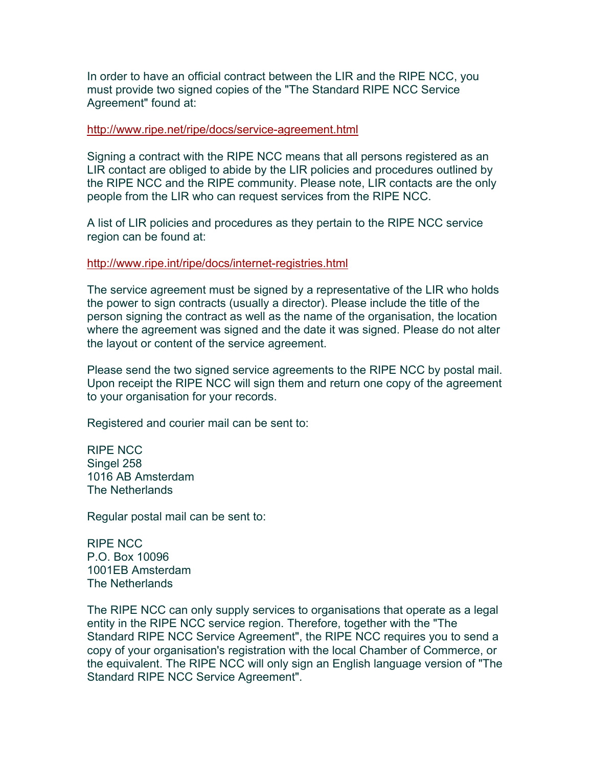In order to have an official contract between the LIR and the RIPE NCC, you must provide two signed copies of the "The Standard RIPE NCC Service Agreement" found at:

#### <http://www.ripe.net/ripe/docs/service-agreement.html>

Signing a contract with the RIPE NCC means that all persons registered as an LIR contact are obliged to abide by the LIR policies and procedures outlined by the RIPE NCC and the RIPE community. Please note, LIR contacts are the only people from the LIR who can request services from the RIPE NCC.

A list of LIR policies and procedures as they pertain to the RIPE NCC service region can be found at:

#### <http://www.ripe.int/ripe/docs/internet-registries.html>

The service agreement must be signed by a representative of the LIR who holds the power to sign contracts (usually a director). Please include the title of the person signing the contract as well as the name of the organisation, the location where the agreement was signed and the date it was signed. Please do not alter the layout or content of the service agreement.

Please send the two signed service agreements to the RIPE NCC by postal mail. Upon receipt the RIPE NCC will sign them and return one copy of the agreement to your organisation for your records.

Registered and courier mail can be sent to:

RIPE NCC Singel 258 1016 AB Amsterdam The Netherlands

Regular postal mail can be sent to:

RIPE NCC P.O. Box 10096 1001EB Amsterdam The Netherlands

The RIPE NCC can only supply services to organisations that operate as a legal entity in the RIPE NCC service region. Therefore, together with the "The Standard RIPE NCC Service Agreement", the RIPE NCC requires you to send a copy of your organisation's registration with the local Chamber of Commerce, or the equivalent. The RIPE NCC will only sign an English language version of "The Standard RIPE NCC Service Agreement".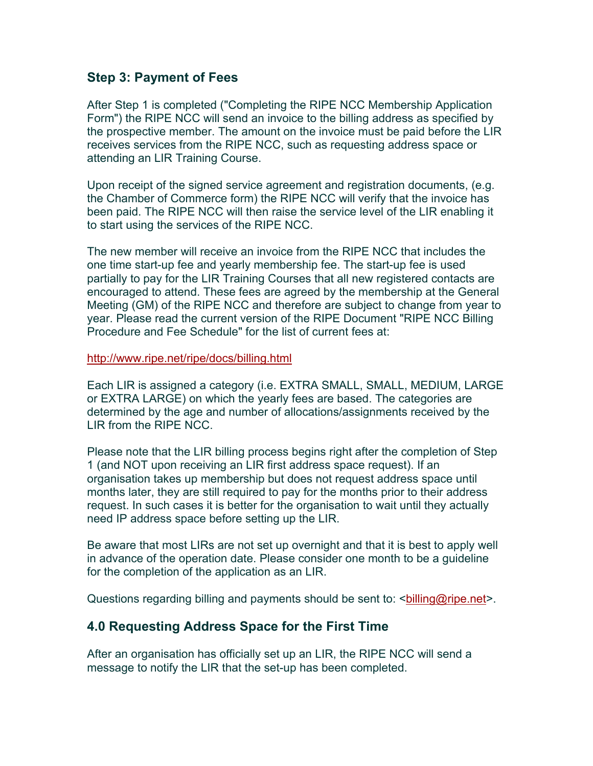#### **Step 3: Payment of Fees**

After Step 1 is completed ("Completing the RIPE NCC Membership Application Form") the RIPE NCC will send an invoice to the billing address as specified by the prospective member. The amount on the invoice must be paid before the LIR receives services from the RIPE NCC, such as requesting address space or attending an LIR Training Course.

Upon receipt of the signed service agreement and registration documents, (e.g. the Chamber of Commerce form) the RIPE NCC will verify that the invoice has been paid. The RIPE NCC will then raise the service level of the LIR enabling it to start using the services of the RIPE NCC.

The new member will receive an invoice from the RIPE NCC that includes the one time start-up fee and yearly membership fee. The start-up fee is used partially to pay for the LIR Training Courses that all new registered contacts are encouraged to attend. These fees are agreed by the membership at the General Meeting (GM) of the RIPE NCC and therefore are subject to change from year to year. Please read the current version of the RIPE Document "RIPE NCC Billing Procedure and Fee Schedule" for the list of current fees at:

#### <http://www.ripe.net/ripe/docs/billing.html>

Each LIR is assigned a category (i.e. EXTRA SMALL, SMALL, MEDIUM, LARGE or EXTRA LARGE) on which the yearly fees are based. The categories are determined by the age and number of allocations/assignments received by the LIR from the RIPE NCC.

Please note that the LIR billing process begins right after the completion of Step 1 (and NOT upon receiving an LIR first address space request). If an organisation takes up membership but does not request address space until months later, they are still required to pay for the months prior to their address request. In such cases it is better for the organisation to wait until they actually need IP address space before setting up the LIR.

Be aware that most LIRs are not set up overnight and that it is best to apply well in advance of the operation date. Please consider one month to be a guideline for the completion of the application as an LIR.

Questions regarding billing and payments should be sent to: <br/>shilling@ripe.net>.

#### **4.0 Requesting Address Space for the First Time**

After an organisation has officially set up an LIR, the RIPE NCC will send a message to notify the LIR that the set-up has been completed.